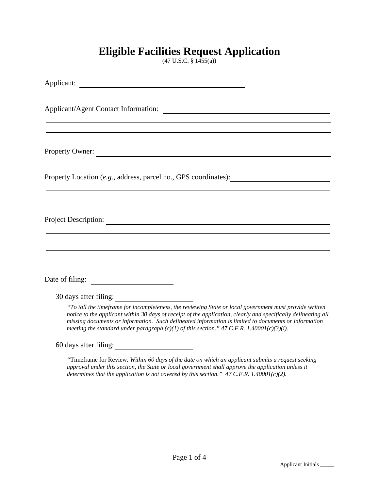### **Eligible Facilities Request Application**

(47 U.S.C. § 1455(a))

| Property Owner:                                                                                                                                                                                                                                                                                                                                                                                                                      |
|--------------------------------------------------------------------------------------------------------------------------------------------------------------------------------------------------------------------------------------------------------------------------------------------------------------------------------------------------------------------------------------------------------------------------------------|
| Property Location (e.g., address, parcel no., GPS coordinates):                                                                                                                                                                                                                                                                                                                                                                      |
|                                                                                                                                                                                                                                                                                                                                                                                                                                      |
|                                                                                                                                                                                                                                                                                                                                                                                                                                      |
| <u> 1989 - Johann Barn, amerikan bernama di sebagai bernama dan bernama di sebagai bernama dalam bernama dalam b</u>                                                                                                                                                                                                                                                                                                                 |
| ,我们也不会有什么。""我们的人,我们也不会有什么?""我们的人,我们也不会有什么?""我们的人,我们也不会有什么?""我们的人,我们也不会有什么?""我们的人<br>,我们也不会有什么。""我们的人,我们也不会有什么?""我们的人,我们也不会有什么?""我们的人,我们也不会有什么?""我们的人,我们也不会有什么?""我们的人                                                                                                                                                                                                                                                                 |
| Date of filing:                                                                                                                                                                                                                                                                                                                                                                                                                      |
| 30 days after filing:                                                                                                                                                                                                                                                                                                                                                                                                                |
| "To toll the timeframe for incompleteness, the reviewing State or local government must provide written<br>notice to the applicant within 30 days of receipt of the application, clearly and specifically delineating all<br>missing documents or information. Such delineated information is limited to documents or information<br>meeting the standard under paragraph $(c)(1)$ of this section." 47 C.F.R. 1.40001 $(c)(3)(i)$ . |
| 60 days after filing:                                                                                                                                                                                                                                                                                                                                                                                                                |
| "Timeframe for Review Within 60 days of the date on which an applicant submits a request seeking                                                                                                                                                                                                                                                                                                                                     |

*"*Timeframe for Review*. Within 60 days of the date on which an applicant submits a request seeking approval under this section, the State or local government shall approve the application unless it determines that the application is not covered by this section." 47 C.F.R. 1.40001(c)(2).*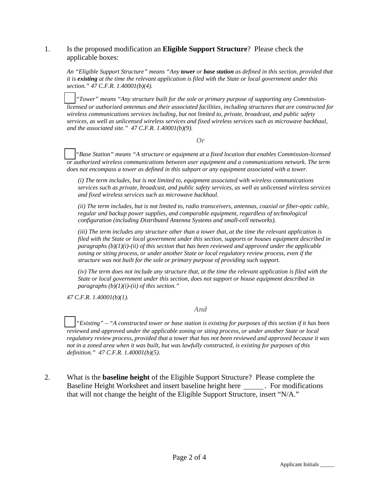#### 1. Is the proposed modification an **Eligible Support Structure**? Please check the applicable boxes:

*An "Eligible Support Structure" means "Any tower or base station as defined in this section, provided that it is existing at the time the relevant application is filed with the State or local government under this section." 47 C.F.R. 1.40001(b)(4).* 

☐ *"Tower" means "Any structure built for the sole or primary purpose of supporting any Commissionlicensed or authorized antennas and their associated facilities, including structures that are constructed for wireless communications services including, but not limited to, private, broadcast, and public safety services, as well as unlicensed wireless services and fixed wireless services such as microwave backhaul, and the associated site." 47 C.F.R. 1.40001(b)(9).*

*Or* 

☐ *"Base Station" means "A structure or equipment at a fixed location that enables Commission-licensed or authorized wireless communications between user equipment and a communications network. The term does not encompass a tower as defined in this subpart or any equipment associated with a tower.* 

*(i) The term includes, but is not limited to, equipment associated with wireless communications services such as private, broadcast, and public safety services, as well as unlicensed wireless services and fixed wireless services such as microwave backhaul.* 

*(ii) The term includes, but is not limited to, radio transceivers, antennas, coaxial or fiber-optic cable, regular and backup power supplies, and comparable equipment, regardless of technological configuration (including Distributed Antenna Systems and small-cell networks).* 

*(iii) The term includes any structure other than a tower that, at the time the relevant application is filed with the State or local government under this section, supports or houses equipment described in paragraphs (b)(1)(i)-(ii) of this section that has been reviewed and approved under the applicable zoning or siting process, or under another State or local regulatory review process, even if the structure was not built for the sole or primary purpose of providing such support.* 

*(iv) The term does not include any structure that, at the time the relevant application is filed with the State or local government under this section, does not support or house equipment described in paragraphs (b)(1)(i)-(ii) of this section."* 

*47 C.F.R. 1.40001(b)(1).* 

*And* 

☐ *"Existing" – "A constructed tower or base station is existing for purposes of this section if it has been reviewed and approved under the applicable zoning or siting process, or under another State or local regulatory review process, provided that a tower that has not been reviewed and approved because it was not in a zoned area when it was built, but was lawfully constructed, is existing for purposes of this definition." 47 C.F.R. 1.40001(b)(5).*

2. What is the **baseline height** of the Eligible Support Structure? Please complete the Baseline Height Worksheet and insert baseline height here \_\_\_\_\_\_\_. For modifications that will not change the height of the Eligible Support Structure, insert "N/A."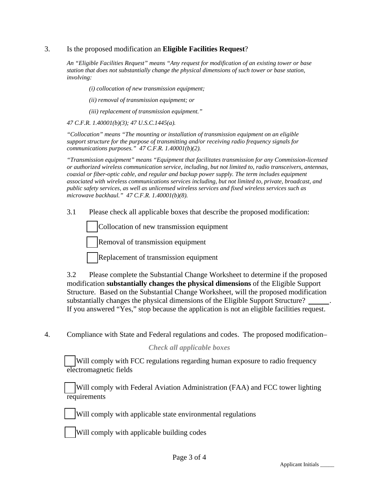#### 3. Is the proposed modification an **Eligible Facilities Request**?

*An "Eligible Facilities Request" means "Any request for modification of an existing tower or base station that does not substantially change the physical dimensions of such tower or base station, involving:* 

*(i) collocation of new transmission equipment;* 

*(ii) removal of transmission equipment; or* 

*(iii) replacement of transmission equipment."* 

*47 C.F.R. 1.40001(b)(3); 47 U.S.C.1445(a).* 

*"Collocation" means "The mounting or installation of transmission equipment on an eligible support structure for the purpose of transmitting and/or receiving radio frequency signals for communications purposes." 47 C.F.R. 1.40001(b)(2).* 

*"Transmission equipment" means "Equipment that facilitates transmission for any Commission-licensed or authorized wireless communication service, including, but not limited to, radio transceivers, antennas, coaxial or fiber-optic cable, and regular and backup power supply. The term includes equipment associated with wireless communications services including, but not limited to, private, broadcast, and public safety services, as well as unlicensed wireless services and fixed wireless services such as microwave backhaul." 47 C.F.R. 1.40001(b)(8).*

3.1 Please check all applicable boxes that describe the proposed modification:

☐ Collocation of new transmission equipment

☐ Removal of transmission equipment

☐ Replacement of transmission equipment

3.2 Please complete the Substantial Change Worksheet to determine if the proposed modification **substantially changes the physical dimensions** of the Eligible Support Structure. Based on the Substantial Change Worksheet, will the proposed modification substantially changes the physical dimensions of the Eligible Support Structure? If you answered "Yes," stop because the application is not an eligible facilities request.

4. Compliance with State and Federal regulations and codes. The proposed modification–

#### *Check all applicable boxes*

Will comply with FCC regulations regarding human exposure to radio frequency electromagnetic fields

Will comply with Federal Aviation Administration (FAA) and FCC tower lighting **requirements** 



Will comply with applicable state environmental regulations

Will comply with applicable building codes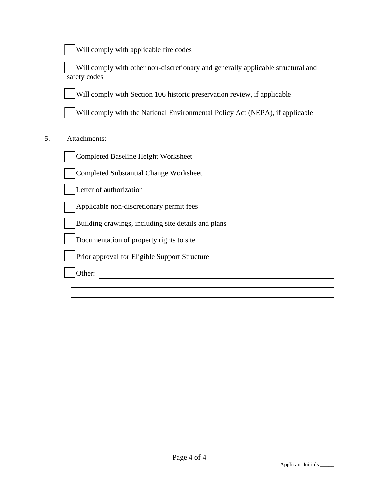Will comply with applicable fire codes

Will comply with other non-discretionary and generally applicable structural and safety codes

Will comply with Section 106 historic preservation review, if applicable

Will comply with the National Environmental Policy Act (NEPA), if applicable

### 5. Attachments:

☐ Completed Baseline Height Worksheet

Completed Substantial Change Worksheet

Letter of authorization

Applicable non-discretionary permit fees

☐ Building drawings, including site details and plans

Documentation of property rights to site

Prior approval for Eligible Support Structure

☐ Other: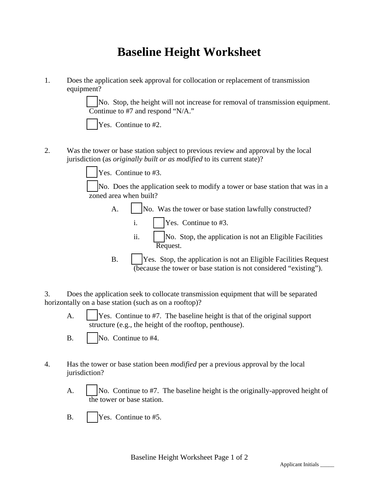## **Baseline Height Worksheet**

1. Does the application seek approval for collocation or replacement of transmission equipment?

> No. Stop, the height will not increase for removal of transmission equipment. Continue to #7 and respond "N/A."

| × |
|---|
|   |

 $\text{es.}$  Continue to #2.

2. Was the tower or base station subject to previous review and approval by the local jurisdiction (as *originally built or as modified* to its current state)?

Yes. Continue to #3.

No. Does the application seek to modify a tower or base station that was in a zoned area when built?

- A.  $\vert$  No. Was the tower or base station lawfully constructed?
	- i.  $\vert$  Yes. Continue to #3.
	- ii.  $\vert$  No. Stop, the application is not an Eligible Facilities Request.
- B.  $\vert$  Yes. Stop, the application is not an Eligible Facilities Request (because the tower or base station is not considered "existing").

3. Does the application seek to collocate transmission equipment that will be separated horizontally on a base station (such as on a rooftop)?

A.  $\vert$  Yes. Continue to #7. The baseline height is that of the original support structure (e.g., the height of the rooftop, penthouse).

- 4. Has the tower or base station been *modified* per a previous approval by the local jurisdiction?
	- A.  $\vert$  No. Continue to #7. The baseline height is the originally-approved height of the tower or base station.
	- B. **Property** Pres. Continue to #5.

B. • No. Continue to #4.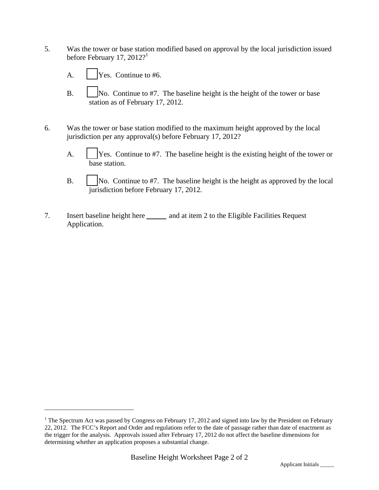- 5. Was the tower or base station modified based on approval by the local jurisdiction issued before February 17, 2012?<sup>1</sup>
	- A. **Property** Yes. Continue to #6.

 $\overline{a}$ 

- B.  $\vert$  No. Continue to #7. The baseline height is the height of the tower or base station as of February 17, 2012.
- 6. Was the tower or base station modified to the maximum height approved by the local jurisdiction per any approval(s) before February 17, 2012?
	- A.  $\vert$  Yes. Continue to #7. The baseline height is the existing height of the tower or base station.
	- B.  $\vert$  No. Continue to #7. The baseline height is the height as approved by the local jurisdiction before February 17, 2012.
- 7. Insert baseline height here and at item 2 to the Eligible Facilities Request Application.

<sup>&</sup>lt;sup>1</sup> The Spectrum Act was passed by Congress on February 17, 2012 and signed into law by the President on February 22, 2012. The FCC's Report and Order and regulations refer to the date of passage rather than date of enactment as the trigger for the analysis. Approvals issued after February 17, 2012 do not affect the baseline dimensions for determining whether an application proposes a substantial change.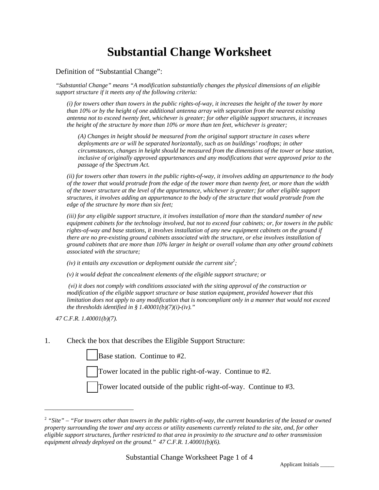# **Substantial Change Worksheet**

Definition of "Substantial Change":

*"Substantial Change" means "A modification substantially changes the physical dimensions of an eligible support structure if it meets any of the following criteria:* 

*(i) for towers other than towers in the public rights-of-way, it increases the height of the tower by more than 10% or by the height of one additional antenna array with separation from the nearest existing antenna not to exceed twenty feet, whichever is greater; for other eligible support structures, it increases the height of the structure by more than 10% or more than ten feet, whichever is greater;* 

*(A) Changes in height should be measured from the original support structure in cases where deployments are or will be separated horizontally, such as on buildings' rooftops; in other circumstances, changes in height should be measured from the dimensions of the tower or base station, inclusive of originally approved appurtenances and any modifications that were approved prior to the passage of the Spectrum Act.* 

*(ii) for towers other than towers in the public rights-of-way, it involves adding an appurtenance to the body of the tower that would protrude from the edge of the tower more than twenty feet, or more than the width of the tower structure at the level of the appurtenance, whichever is greater; for other eligible support structures, it involves adding an appurtenance to the body of the structure that would protrude from the edge of the structure by more than six feet;* 

*(iii) for any eligible support structure, it involves installation of more than the standard number of new equipment cabinets for the technology involved, but not to exceed four cabinets; or, for towers in the public rights-of-way and base stations, it involves installation of any new equipment cabinets on the ground if there are no pre-existing ground cabinets associated with the structure, or else involves installation of ground cabinets that are more than 10% larger in height or overall volume than any other ground cabinets associated with the structure;* 

*(iv) it entails any excavation or deployment outside the current site*<sup>2</sup>;

*(v) it would defeat the concealment elements of the eligible support structure; or* 

 *(vi) it does not comply with conditions associated with the siting approval of the construction or modification of the eligible support structure or base station equipment, provided however that this limitation does not apply to any modification that is noncompliant only in a manner that would not exceed the thresholds identified in § 1.40001(b)(7)(i)-(iv).*"

*47 C.F.R. 1.40001(b)(7).* 

 $\overline{a}$ 

1. Check the box that describes the Eligible Support Structure:

Base station. Continue to #2.

Tower located in the public right-of-way. Continue to #2.

Tower located outside of the public right-of-way. Continue to #3.

<sup>2</sup> *"Site" – "For towers other than towers in the public rights-of-way, the current boundaries of the leased or owned property surrounding the tower and any access or utility easements currently related to the site, and, for other eligible support structures, further restricted to that area in proximity to the structure and to other transmission equipment already deployed on the ground." 47 C.F.R. 1.40001(b)(6).*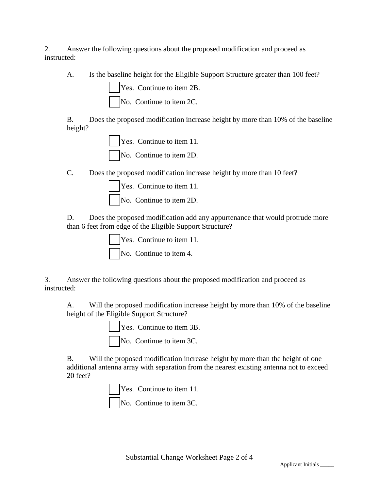2. Answer the following questions about the proposed modification and proceed as instructed:

A. Is the baseline height for the Eligible Support Structure greater than 100 feet?

☐ Yes. Continue to item 2B. No. Continue to item 2C.

B. Does the proposed modification increase height by more than 10% of the baseline height?

> Yes. Continue to item 11. No. Continue to item 2D.

C. Does the proposed modification increase height by more than 10 feet?

| $\vert$ Yes. Continue to item 11. |
|-----------------------------------|
| $\vert$ No. Continue to item 2D.  |

D. Does the proposed modification add any appurtenance that would protrude more than 6 feet from edge of the Eligible Support Structure?

> Yes. Continue to item 11. No. Continue to item 4.

3. Answer the following questions about the proposed modification and proceed as instructed:

A. Will the proposed modification increase height by more than 10% of the baseline height of the Eligible Support Structure?

> Yes. Continue to item 3B. No. Continue to item 3C.

B. Will the proposed modification increase height by more than the height of one additional antenna array with separation from the nearest existing antenna not to exceed 20 feet?

> Yes. Continue to item 11. No. Continue to item 3C.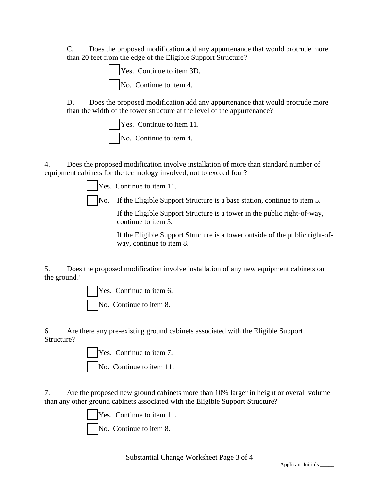C. Does the proposed modification add any appurtenance that would protrude more than 20 feet from the edge of the Eligible Support Structure?

> ☐ Yes. Continue to item 3D. No. Continue to item 4.

D. Does the proposed modification add any appurtenance that would protrude more than the width of the tower structure at the level of the appurtenance?

> **The Yes.** Continue to item 11. No. Continue to item 4.

4. Does the proposed modification involve installation of more than standard number of equipment cabinets for the technology involved, not to exceed four?

Yes. Continue to item 11.

No. If the Eligible Support Structure is a base station, continue to item 5.

If the Eligible Support Structure is a tower in the public right-of-way, continue to item 5.

If the Eligible Support Structure is a tower outside of the public right-ofway, continue to item 8.

5. Does the proposed modification involve installation of any new equipment cabinets on the ground?

Yes. Continue to item 6.

No. Continue to item 8.

6. Are there any pre-existing ground cabinets associated with the Eligible Support Structure?

Yes. Continue to item 7.

No. Continue to item 11.

7. Are the proposed new ground cabinets more than 10% larger in height or overall volume than any other ground cabinets associated with the Eligible Support Structure?

Yes. Continue to item 11.

No. Continue to item 8.

Substantial Change Worksheet Page 3 of 4<br>Applicant Initials